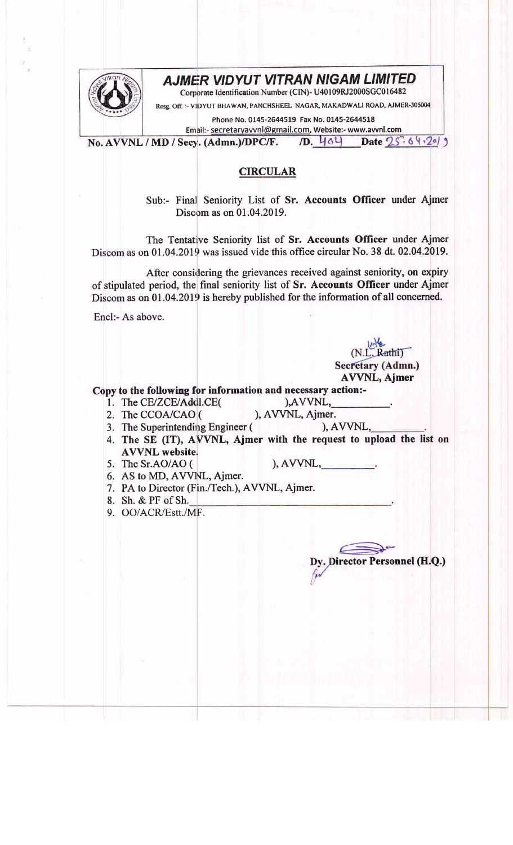## AJMER VIDYUT VITRAN NIGAM LIMITED



Corporate Identification Number (CIN)- U40109RJ2000SGC016482

Resg. Off. :- VIDYUT BHAWAN, PANCHSHEEL NAGAR, MAKADWALI ROAD, AJMER-305004

Phone No. 0145-2644519 Fax No. 0145-2644518

Email:- secretaryavvnl@gmail.com, Website:- www.avvnl.com<br>ecy. (Admn.)/DPC/F. /D. 444 Date 25

No. AVVNL / MD / Secy. (Admn.)/DPC/F. *ID.*  $\frac{1}{8}$  of  $\frac{2}{3}$  bate  $25.6$   $\frac{1}{2}$ 

## **CIRCULAR**

Sub:- Final Seniority List of Sr. Accounts Officer under Ajmer Discom as on 01.04.2019.

The Tentative Seniority list of Sr. Accounts Officer under Ajmer Discom as on 01.04.2019 was issued vide this office circular No. 38 dt. 02.04.2019.

After considering the grievances received against seniority, on expiry of stipulated period, the final seniority list of Sr. Accounts Officer under Ajmer Discom as on 01.04.2019 is hereby published for the information of all concerned.

Encl:- As above.

Copy to the following for information and necessary action:- $)$ ,  $AVVNL$ ,

AVVNL, Ajmer

 $(N.L.$  Rathi) Secretary (Admn.)

Dy. Director Personnel (H.Q.)

- 1. The CE/ZCE/Addl.CE 2. The CCOA/CAO (
- ), AVVNL, Ajmer.
- 3. The Superintending Engineer ( 4. The SE (IT), AVVNL, Ajmer with the request to upload the list ), AVVNL, AWNL website.,
- The Sr.AO/AO ( 5.

),AWNL,

l.

- 6. AS to MD, AVVNL, Ajmer.
- 7. PA to Director (Fin./Tech.), AVVNL, Ajmer.
- 8. Sh. & PF ofSh.
- 9. OO/ACR/Estt./MF.